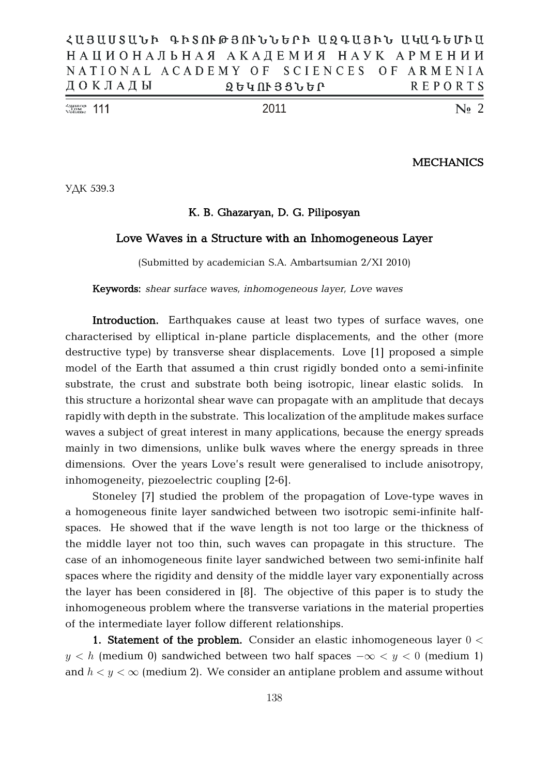| $\frac{\text{Number of Number}}{\text{Volume}}$ 111 |                                           |                   |  |  |  | -2011 |  |  |  |  |  |         |  | $\mathbb{N}$ <sub>2</sub> 2 |  |
|-----------------------------------------------------|-------------------------------------------|-------------------|--|--|--|-------|--|--|--|--|--|---------|--|-----------------------------|--|
|                                                     | ДОКЛАДЫ                                   | <b>ՁԵԿՈՒՅՑՆԵՐ</b> |  |  |  |       |  |  |  |  |  | REPORTS |  |                             |  |
|                                                     | NATIONAL ACADEMY OF SCIENCES OF ARMENIA   |                   |  |  |  |       |  |  |  |  |  |         |  |                             |  |
|                                                     | НАЦИОНАЛЬНАЯ АКАДЕМИЯ НАУК АРМЕНИИ        |                   |  |  |  |       |  |  |  |  |  |         |  |                             |  |
|                                                     | ՀԱՅԱՍՏԱԵՐ ԳՐՏՈՒԹՅՈՒԵԵԵԻՐ ԱՋԳԱՅՐԵ ԱԿԱԴԵՍՐԱ |                   |  |  |  |       |  |  |  |  |  |         |  |                             |  |

**MECHANICS**

УДК 539.3

## **K. B. Ghazaryan, D. G. Piliposyan**

## **Love Waves in a Structure with an Inhomogeneous Layer**

(Submitted by academician S.A. Ambartsumian 2/XI 2010)

**Keywords:** *shear surface waves, inhomogeneous layer, Love waves*

**Introduction.** Earthquakes cause at least two types of surface waves, one characterised by elliptical in-plane particle displacements, and the other (more destructive type) by transverse shear displacements. Love [1] proposed a simple model of the Earth that assumed a thin crust rigidly bonded onto a semi-infinite substrate, the crust and substrate both being isotropic, linear elastic solids. In this structure a horizontal shear wave can propagate with an amplitude that decays rapidly with depth in the substrate. This localization of the amplitude makes surface waves a subject of great interest in many applications, because the energy spreads mainly in two dimensions, unlike bulk waves where the energy spreads in three dimensions. Over the years Love's result were generalised to include anisotropy, inhomogeneity, piezoelectric coupling [2-6].

Stoneley [7] studied the problem of the propagation of Love-type waves in a homogeneous finite layer sandwiched between two isotropic semi-infinite halfspaces. He showed that if the wave length is not too large or the thickness of the middle layer not too thin, such waves can propagate in this structure. The case of an inhomogeneous finite layer sandwiched between two semi-infinite half spaces where the rigidity and density of the middle layer vary exponentially across the layer has been considered in [8]. The objective of this paper is to study the inhomogeneous problem where the transverse variations in the material properties of the intermediate layer follow different relationships.

**1. Statement of the problem.** Consider an elastic inhomogeneous layer 0 <  $y < h$  (medium 0) sandwiched between two half spaces  $-\infty < y < 0$  (medium 1) and  $h < y < \infty$  (medium 2). We consider an antiplane problem and assume without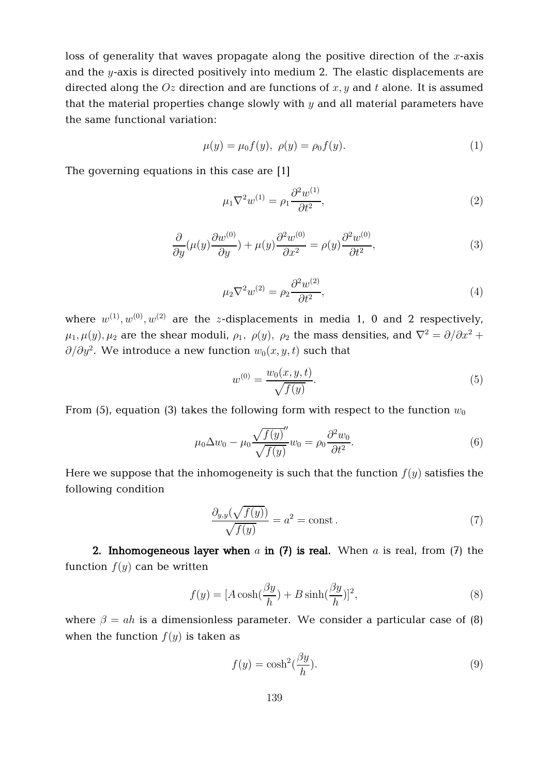loss of generality that waves propagate along the positive direction of the  $x$ -axis and the  $y$ -axis is directed positively into medium 2. The elastic displacements are directed along the  $Oz$  direction and are functions of  $x, y$  and  $t$  alone. It is assumed that the material properties change slowly with  $y$  and all material parameters have the same functional variation:

$$
\mu(y) = \mu_0 f(y), \ \rho(y) = \rho_0 f(y). \tag{1}
$$

The governing equations in this case are [1]

$$
\mu_1 \nabla^2 w^{(1)} = \rho_1 \frac{\partial^2 w^{(1)}}{\partial t^2},\tag{2}
$$

$$
\frac{\partial}{\partial y}(\mu(y)\frac{\partial w^{(0)}}{\partial y}) + \mu(y)\frac{\partial^2 w^{(0)}}{\partial x^2} = \rho(y)\frac{\partial^2 w^{(0)}}{\partial t^2},\tag{3}
$$

$$
\mu_2 \nabla^2 w^{(2)} = \rho_2 \frac{\partial^2 w^{(2)}}{\partial t^2},\tag{4}
$$

where  $w^{(1)}, w^{(0)}, w^{(2)}$  are the  $z$ -displacements in media 1, 0 and 2 respectively,  $\mu_1, \mu_2, \mu_2$  are the shear moduli,  $\rho_1, \rho_2, \rho_2$  the mass densities, and  $\nabla^2 = \partial/\partial x^2 + \partial x^2$  $\partial/\partial y^2.$  We introduce a new function  $w_0(x,y,t)$  such that

$$
w^{(0)} = \frac{w_0(x, y, t)}{\sqrt{f(y)}}.
$$
\n(5)

From (5), equation (3) takes the following form with respect to the function  $w_0$ 

$$
\mu_0 \Delta w_0 - \mu_0 \frac{\sqrt{f(y)}}{\sqrt{f(y)}} w_0 = \rho_0 \frac{\partial^2 w_0}{\partial t^2}.
$$
\n(6)

Here we suppose that the inhomogeneity is such that the function  $f(y)$  satisfies the following condition

$$
\frac{\partial_{y,y}(\sqrt{f(y)})}{\sqrt{f(y)}} = a^2 = \text{const.}\tag{7}
$$

**2. Inhomogeneous layer when** a **in (7) is real.** When a is real, from (7) the function  $f(y)$  can be written

$$
f(y) = [A\cosh(\frac{\beta y}{h}) + B\sinh(\frac{\beta y}{h})]^2,
$$
\n(8)

where  $\beta = ah$  is a dimensionless parameter. We consider a particular case of (8) when the function  $f(y)$  is taken as

$$
f(y) = \cosh^2(\frac{\beta y}{h}).
$$
\n(9)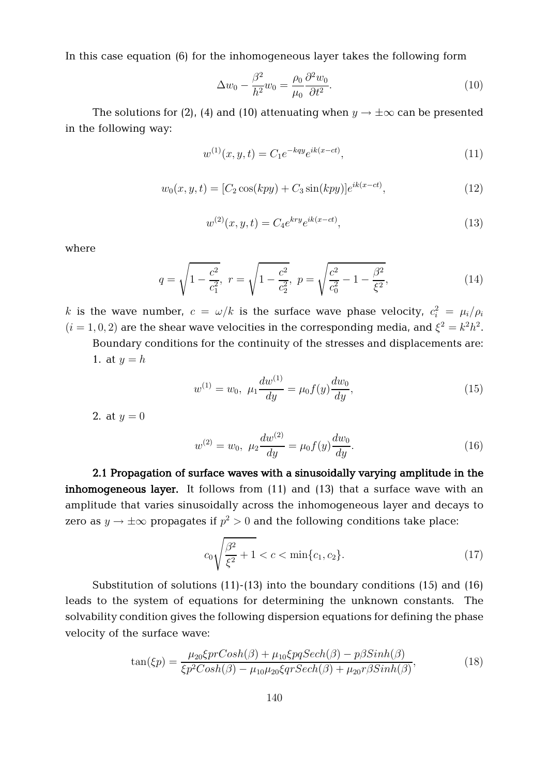In this case equation (6) for the inhomogeneous layer takes the following form

$$
\Delta w_0 - \frac{\beta^2}{h^2} w_0 = \frac{\rho_0}{\mu_0} \frac{\partial^2 w_0}{\partial t^2}.
$$
\n(10)

The solutions for (2), (4) and (10) attenuating when  $y \to \pm \infty$  can be presented in the following way:

$$
w^{(1)}(x, y, t) = C_1 e^{-kq y} e^{ik(x - ct)},
$$
\n(11)

$$
w_0(x, y, t) = [C_2 \cos(kpy) + C_3 \sin(kpy)]e^{ik(x - ct)},
$$
\n(12)

$$
w^{(2)}(x, y, t) = C_4 e^{kry} e^{ik(x - ct)},
$$
\n(13)

where

$$
q = \sqrt{1 - \frac{c^2}{c_1^2}}, \ r = \sqrt{1 - \frac{c^2}{c_2^2}}, \ p = \sqrt{\frac{c^2}{c_0^2} - 1 - \frac{\beta^2}{\xi^2}}, \tag{14}
$$

 $k$  is the wave number,  $c\,=\,\omega/k$  is the surface wave phase velocity,  $c_i^2\,=\,\mu_i/\rho_i$  $(i = 1, 0, 2)$  are the shear wave velocities in the corresponding media, and  $\xi^2 = k^2 h^2$ .

Boundary conditions for the continuity of the stresses and displacements are: 1. at  $y = h$ 

$$
w^{(1)} = w_0, \ \mu_1 \frac{dw^{(1)}}{dy} = \mu_0 f(y) \frac{dw_0}{dy}, \tag{15}
$$

2. at  $y = 0$ 

$$
w^{(2)} = w_0, \ \mu_2 \frac{dw^{(2)}}{dy} = \mu_0 f(y) \frac{dw_0}{dy}.
$$
 (16)

**2.1 Propagation of surface waves with a sinusoidally varying amplitude in the inhomogeneous layer.** It follows from (11) and (13) that a surface wave with an amplitude that varies sinusoidally across the inhomogeneous layer and decays to zero as  $y \to \pm \infty$  propagates if  $p^2 > 0$  and the following conditions take place:

$$
c_0 \sqrt{\frac{\beta^2}{\xi^2} + 1} < c < \min\{c_1, c_2\}.\tag{17}
$$

Substitution of solutions (11)-(13) into the boundary conditions (15) and (16) leads to the system of equations for determining the unknown constants. The solvability condition gives the following dispersion equations for defining the phase velocity of the surface wave:

$$
\tan(\xi p) = \frac{\mu_{20}\xi prCosh(\beta) + \mu_{10}\xi pqSech(\beta) - p\beta Sinh(\beta)}{\xi p^2Cosh(\beta) - \mu_{10}\mu_{20}\xi qrSech(\beta) + \mu_{20}r\beta Sinh(\beta)},
$$
\n(18)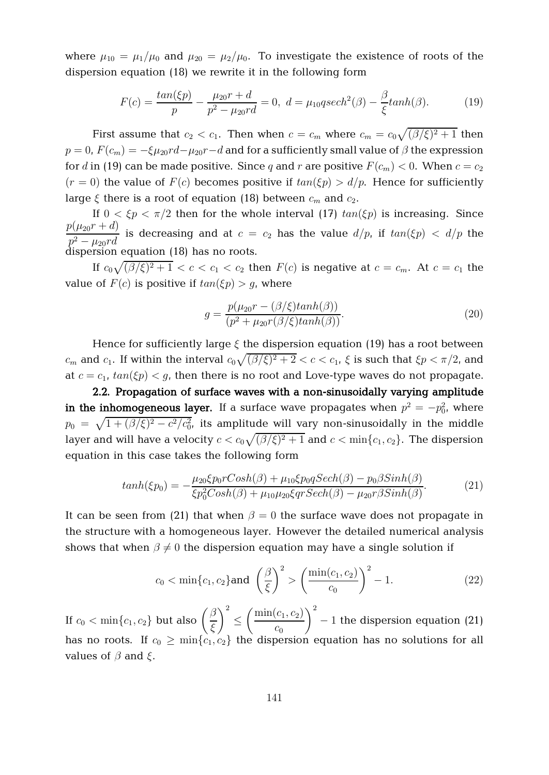where  $\mu_{10} = \mu_1/\mu_0$  and  $\mu_{20} = \mu_2/\mu_0$ . To investigate the existence of roots of the dispersion equation (18) we rewrite it in the following form

$$
F(c) = \frac{\tan(\xi p)}{p} - \frac{\mu_{20}r + d}{p^2 - \mu_{20}rd} = 0, \ d = \mu_{10}qsech^2(\beta) - \frac{\beta}{\xi}\tanh(\beta). \tag{19}
$$

First assume that  $c_2 < c_1$ . Then when  $c = c_m$  where  $c_m = c_0 \sqrt{(\beta/\xi)^2 + 1}$  then  $p = 0$ ,  $F(c_m) = -\xi \mu_{20} r d - \mu_{20} r - d$  and for a sufficiently small value of  $\beta$  the expression for d in (19) can be made positive. Since q and r are positive  $F(c_m) < 0$ . When  $c = c_2$  $(r = 0)$  the value of  $F(c)$  becomes positive if  $tan(\xi p) > d/p$ . Hence for sufficiently large  $\xi$  there is a root of equation (18) between  $c_m$  and  $c_2$ .

If  $0 < \xi p < \pi/2$  then for the whole interval (17)  $tan(\xi p)$  is increasing. Since  $p(\mu_{20}r+d)$  $\frac{P(Y \ge 0)}{p^2 - \mu_{20}rd}$  is decreasing and at  $c = c_2$  has the value  $d/p$ , if  $tan(\xi p) < d/p$  the dispersion equation (18) has no roots.

If  $c_0\sqrt{(\beta/\xi)^2+1} < c < c_1 < c_2$  then  $F(c)$  is negative at  $c=c_m.$  At  $c=c_1$  the value of  $F(c)$  is positive if  $tan(\xi p) > q$ , where

$$
g = \frac{p(\mu_{20}r - (\beta/\xi)\tanh(\beta))}{(p^2 + \mu_{20}r(\beta/\xi)\tanh(\beta))}.
$$
\n(20)

Hence for sufficiently large  $\xi$  the dispersion equation (19) has a root between  $c_m$  and  $c_1$ . If within the interval  $c_0\sqrt{(\beta/\xi)^2+2} < c < c_1$ ,  $\xi$  is such that  $\xi p < \pi/2$ , and at  $c = c_1$ ,  $tan(\xi p) < g$ , then there is no root and Love-type waves do not propagate.

**2.2. Propagation of surface waves with a non-sinusoidally varying amplitude**  $\mathbf{in}$  **the inhomogeneous layer.** If a surface wave propagates when  $p^2 = -p_0^2$ , where  $p_0 \ = \ \sqrt{1 + (\beta/\xi)^2 - c^2/c_0^2}$ , its amplitude will vary non-sinusoidally in the middle layer and will have a velocity  $c < c_0\sqrt{(\beta/\xi)^2+1}$  and  $c < \min\{c_1, c_2\}.$  The dispersion equation in this case takes the following form

$$
tanh(\xi p_0) = -\frac{\mu_{20}\xi p_0 rCosh(\beta) + \mu_{10}\xi p_0 qSech(\beta) - p_0 \beta Sinh(\beta)}{\xi p_0^2 Cosh(\beta) + \mu_{10}\mu_{20}\xi qrSech(\beta) - \mu_{20} r\beta Sinh(\beta)}.
$$
(21)

It can be seen from (21) that when  $\beta = 0$  the surface wave does not propagate in the structure with a homogeneous layer. However the detailed numerical analysis shows that when  $\beta \neq 0$  the dispersion equation may have a single solution if

$$
c_0 < \min\{c_1, c_2\}
$$
 and  $\left(\frac{\beta}{\xi}\right)^2 > \left(\frac{\min(c_1, c_2)}{c_0}\right)^2 - 1.$  (22)

If  $c_0 < \min\{c_1, c_2\}$  but also  $\left(\frac{\beta}{\epsilon}\right)$  $\xi$  $\setminus^2$  $\leq$  $\big(\min(c_1, c_2)\big)$  $c_0$  $\setminus^2$  $-1$  the dispersion equation (21) has no roots. If  $c_0 \ge \min\{c_1, c_2\}$  the dispersion equation has no solutions for all values of  $\beta$  and  $\xi$ .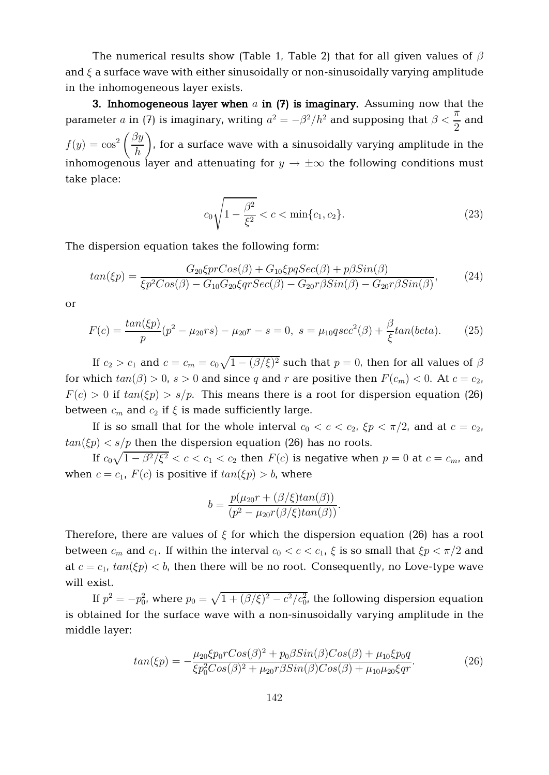The numerical results show (Table 1, Table 2) that for all given values of  $\beta$ and  $\xi$  a surface wave with either sinusoidally or non-sinusoidally varying amplitude in the inhomogeneous layer exists.

**3. Inhomogeneous layer when** a **in (7) is imaginary.** Assuming now that the parameter a in (7) is imaginary, writing  $a^2 = -\beta^2/h^2$  and supposing that  $\beta < \frac{\pi}{2}$ 2 and  $f(y) = \cos^2$  $\int \beta y$ h  $\setminus$ , for a surface wave with a sinusoidally varying amplitude in the inhomogenous layer and attenuating for  $y \to \pm \infty$  the following conditions must take place:

$$
c_0\sqrt{1-\frac{\beta^2}{\xi^2}} < c < \min\{c_1, c_2\}.\tag{23}
$$

The dispersion equation takes the following form:

$$
tan(\xi p) = \frac{G_{20}\xi prCos(\beta) + G_{10}\xi pqSec(\beta) + p\beta Sin(\beta)}{\xi p^2 Cos(\beta) - G_{10}G_{20}\xi qrSec(\beta) - G_{20}r\beta Sin(\beta) - G_{20}r\beta Sin(\beta)},
$$
(24)

or

$$
F(c) = \frac{\tan(\xi p)}{p}(p^2 - \mu_{20}rs) - \mu_{20}r - s = 0, \ s = \mu_{10}qsec^2(\beta) + \frac{\beta}{\xi}tan(beta). \tag{25}
$$

If  $c_2 > c_1$  and  $c = c_m = c_0 \sqrt{1 - (\beta/\xi)^2}$  such that  $p = 0$ , then for all values of  $\beta$ for which  $tan(\beta) > 0$ ,  $s > 0$  and since q and r are positive then  $F(c_m) < 0$ . At  $c = c_2$ ,  $F(c) > 0$  if  $tan(\xi p) > s/p$ . This means there is a root for dispersion equation (26) between  $c_m$  and  $c_2$  if  $\xi$  is made sufficiently large.

If is so small that for the whole interval  $c_0 < c < c_2$ ,  $\zeta p < \pi/2$ , and at  $c = c_2$ ,  $tan(\xi p) < s/p$  then the dispersion equation (26) has no roots.

If  $c_0\sqrt{1-\beta^2/\xi^2} < c < c_1 < c_2$  then  $F(c)$  is negative when  $p=0$  at  $c=c_m$ , and when  $c = c_1$ ,  $F(c)$  is positive if  $tan(\xi p) > b$ , where

$$
b = \frac{p(\mu_{20}r + (\beta/\xi)tan(\beta))}{(p^2 - \mu_{20}r(\beta/\xi)tan(\beta))}.
$$

Therefore, there are values of  $\xi$  for which the dispersion equation (26) has a root between  $c_m$  and  $c_1$ . If within the interval  $c_0 < c < c_1$ ,  $\xi$  is so small that  $\xi p < \pi/2$  and at  $c = c_1$ ,  $tan(\xi p) < b$ , then there will be no root. Consequently, no Love-type wave will exist.

If  $p^2=-p_0^2$ , where  $p_0=\sqrt{1+(\beta/\xi)^2-c^2/c_0^2}$ , the following dispersion equation is obtained for the surface wave with a non-sinusoidally varying amplitude in the middle layer:

$$
tan(\xi p) = -\frac{\mu_{20}\xi p_0 r Cos(\beta)^2 + p_0 \beta Sin(\beta) Cos(\beta) + \mu_{10}\xi p_0 q}{\xi p_0^2 Cos(\beta)^2 + \mu_{20} r \beta Sin(\beta) Cos(\beta) + \mu_{10}\mu_{20}\xi qr}.
$$
(26)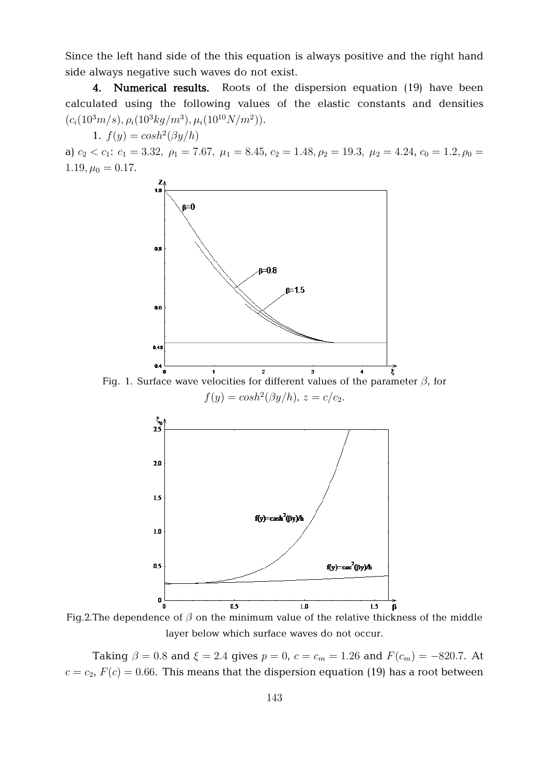Since the left hand side of the this equation is always positive and the right hand side always negative such waves do not exist.

**4. Numerical results.** Roots of the dispersion equation (19) have been calculated using the following values of the elastic constants and densities  $(c_i(10^3m/s), \rho_i(10^3kg/m^3), \mu_i(10^{10}N/m^2)).$ 

1.  $f(y) = \cosh^2(\beta y/h)$ 

a)  $c_2 < c_1$ :  $c_1 = 3.32$ ,  $\rho_1 = 7.67$ ,  $\mu_1 = 8.45$ ,  $c_2 = 1.48$ ,  $\rho_2 = 19.3$ ,  $\mu_2 = 4.24$ ,  $c_0 = 1.2$ ,  $\rho_0 =$  $1.19, \mu_0 = 0.17.$ 



Fig. 1. Surface wave velocities for different values of the parameter  $\beta$ , for  $f(y) = \cosh^2(\beta y/h)$ ,  $z = c/c_2$ .



Fig.2. The dependence of  $\beta$  on the minimum value of the relative thickness of the middle layer below which surface waves do not occur.

Taking  $\beta = 0.8$  and  $\xi = 2.4$  gives  $p = 0$ ,  $c = c_m = 1.26$  and  $F(c_m) = -820.7$ . At  $c = c_2$ ,  $F(c) = 0.66$ . This means that the dispersion equation (19) has a root between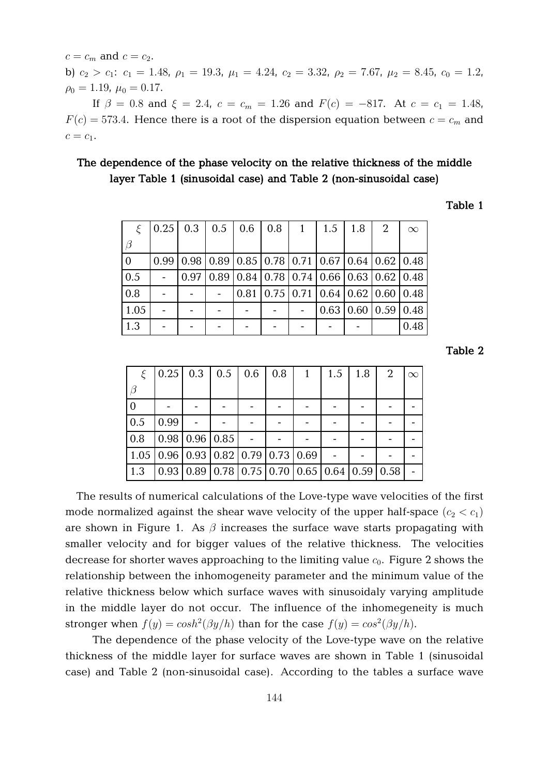$c = c_m$  and  $c = c_2$ . b)  $c_2 > c_1$ :  $c_1 = 1.48$ ,  $\rho_1 = 19.3$ ,  $\mu_1 = 4.24$ ,  $c_2 = 3.32$ ,  $\rho_2 = 7.67$ ,  $\mu_2 = 8.45$ ,  $c_0 = 1.2$ ,  $\rho_0 = 1.19, \mu_0 = 0.17.$ 

If  $\beta = 0.8$  and  $\xi = 2.4$ ,  $c = c_m = 1.26$  and  $F(c) = -817$ . At  $c = c_1 = 1.48$ ,  $F(c) = 573.4$ . Hence there is a root of the dispersion equation between  $c = c_m$  and  $c = c_1$ .

# **The dependence of the phase velocity on the relative thickness of the middle layer Table 1 (sinusoidal case) and Table 2 (non-sinusoidal case)**

# **Table 1**

|                |      | $0.25 \mid 0.3 \mid 0.5 \mid 0.6 \mid 0.8$                                                           |  | $\begin{array}{c c} 1 \end{array}$ |                                                                    | $1.5$   $1.8$ | 2 | $\infty$ |
|----------------|------|------------------------------------------------------------------------------------------------------|--|------------------------------------|--------------------------------------------------------------------|---------------|---|----------|
|                |      |                                                                                                      |  |                                    |                                                                    |               |   |          |
| $\overline{0}$ | 0.99 | $(0.98 \mid 0.89 \mid 0.85 \mid 0.78 \mid 0.71 \mid 0.67 \mid 0.64 \mid 0.62 \mid 0.48$              |  |                                    |                                                                    |               |   |          |
| $\vert$ 0.5    |      | $\vert 0.97 \vert 0.89 \vert 0.84 \vert 0.78 \vert 0.74 \vert 0.66 \vert 0.63 \vert 0.62 \vert 0.48$ |  |                                    |                                                                    |               |   |          |
| 0.8            |      |                                                                                                      |  |                                    | $0.81 \mid 0.75 \mid 0.71 \mid 0.64 \mid 0.62 \mid 0.60 \mid 0.48$ |               |   |          |
| 1.05           |      |                                                                                                      |  |                                    | $0.63$   0.60   0.59   0.48                                        |               |   |          |
| 1.3            |      |                                                                                                      |  |                                    |                                                                    |               |   | 0.48     |

**Table 2**

| $\mathcal{E}_{\mathcal{L}}$ |      | $\vert 0.25 \vert 0.3 \vert 0.5 \vert 0.6 \vert 0.8 \vert 1 \vert$                                   |  |  | $1.5 \, \, 1.8$ | $\begin{array}{cc} \end{array}$ | $\infty$ |
|-----------------------------|------|------------------------------------------------------------------------------------------------------|--|--|-----------------|---------------------------------|----------|
| $\beta$                     |      |                                                                                                      |  |  |                 |                                 |          |
|                             |      |                                                                                                      |  |  |                 |                                 |          |
| 0.5                         | 0.99 |                                                                                                      |  |  |                 |                                 |          |
| 0.8                         |      | $\vert 0.98 \vert 0.96 \vert 0.85$                                                                   |  |  |                 |                                 |          |
|                             |      | $1.05 \mid 0.96 \mid 0.93 \mid 0.82 \mid 0.79 \mid 0.73 \mid 0.69$                                   |  |  |                 |                                 |          |
| 1.3                         |      | $\vert 0.93 \vert 0.89 \vert 0.78 \vert 0.75 \vert 0.70 \vert 0.65 \vert 0.64 \vert 0.59 \vert 0.58$ |  |  |                 |                                 |          |

The results of numerical calculations of the Love-type wave velocities of the first mode normalized against the shear wave velocity of the upper half-space  $(c_2 < c_1)$ are shown in Figure 1. As  $\beta$  increases the surface wave starts propagating with smaller velocity and for bigger values of the relative thickness. The velocities decrease for shorter waves approaching to the limiting value  $c_0$ . Figure 2 shows the relationship between the inhomogeneity parameter and the minimum value of the relative thickness below which surface waves with sinusoidaly varying amplitude in the middle layer do not occur. The influence of the inhomegeneity is much stronger when  $f(y) = \cosh^2(\beta y/h)$  than for the case  $f(y) = \cos^2(\beta y/h)$ .

The dependence of the phase velocity of the Love-type wave on the relative thickness of the middle layer for surface waves are shown in Table 1 (sinusoidal case) and Table 2 (non-sinusoidal case). According to the tables a surface wave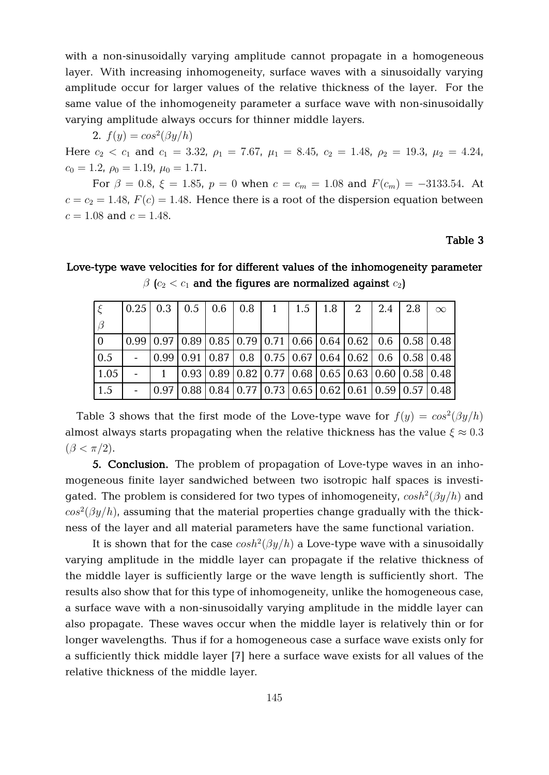with a non-sinusoidally varying amplitude cannot propagate in a homogeneous layer. With increasing inhomogeneity, surface waves with a sinusoidally varying amplitude occur for larger values of the relative thickness of the layer. For the same value of the inhomogeneity parameter a surface wave with non-sinusoidally varying amplitude always occurs for thinner middle layers.

2.  $f(y) = cos^2(\beta y/h)$ 

Here  $c_2 < c_1$  and  $c_1 = 3.32$ ,  $\rho_1 = 7.67$ ,  $\mu_1 = 8.45$ ,  $c_2 = 1.48$ ,  $\rho_2 = 19.3$ ,  $\mu_2 = 4.24$ ,  $c_0 = 1.2, \ \rho_0 = 1.19, \ \mu_0 = 1.71.$ 

For  $\beta = 0.8$ ,  $\xi = 1.85$ ,  $p = 0$  when  $c = c_m = 1.08$  and  $F(c_m) = -3133.54$ . At  $c = c_2 = 1.48$ ,  $F(c) = 1.48$ . Hence there is a root of the dispersion equation between  $c = 1.08$  and  $c = 1.48$ .

# **Table 3**

|                    |  |  |  | $\vert 0.25 \vert 0.3 \vert 0.5 \vert 0.6 \vert 0.8 \vert 1 \vert 1.5 \vert 1.8 \vert 2 \vert 2.4 \vert 2.8 \vert$ |  | $\infty$                                                                                                                                                                       |
|--------------------|--|--|--|--------------------------------------------------------------------------------------------------------------------|--|--------------------------------------------------------------------------------------------------------------------------------------------------------------------------------|
|                    |  |  |  |                                                                                                                    |  |                                                                                                                                                                                |
|                    |  |  |  |                                                                                                                    |  | $\vert 0.99 \, \vert 0.97 \, \vert 0.89 \, \vert 0.85 \, \vert 0.79 \, \vert 0.71 \, \vert 0.66 \, \vert 0.64 \, \vert 0.62 \, \vert 0.6 \, \vert 0.58 \, \vert 0.48 \, \vert$ |
| 0.5                |  |  |  | $  0.99 0.91 0.87 0.8 0.75 0.67 0.64 0.62 0.6 0.58 0.48 $                                                          |  |                                                                                                                                                                                |
| $\vert 1.05 \vert$ |  |  |  |                                                                                                                    |  | $\left[0.93\right]0.89\left[0.82\right]0.77\left[0.68\right]0.65\left[0.63\right]0.60\left[0.58\right]0.48\right]$                                                             |
| 1.5                |  |  |  |                                                                                                                    |  | $-  0.97 0.88 0.84 0.77 0.73 0.65 0.62 0.61 0.59 0.57 0.48 $                                                                                                                   |

**Love-type wave velocities for for different values of the inhomogeneity parameter**  $\beta$  ( $c_2 < c_1$  and the figures are normalized against  $c_2$ )

Table 3 shows that the first mode of the Love-type wave for  $f(y) = cos^2(\beta y/h)$ almost always starts propagating when the relative thickness has the value  $\xi \approx 0.3$  $(\beta < \pi/2)$ .

**5. Conclusion.** The problem of propagation of Love-type waves in an inhomogeneous finite layer sandwiched between two isotropic half spaces is investigated. The problem is considered for two types of inhomogeneity,  $cosh^2(\beta y/h)$  and  $cos^2(\beta y/h)$ , assuming that the material properties change gradually with the thickness of the layer and all material parameters have the same functional variation.

It is shown that for the case  $cosh^2(\beta y/h)$  a Love-type wave with a sinusoidally varying amplitude in the middle layer can propagate if the relative thickness of the middle layer is sufficiently large or the wave length is sufficiently short. The results also show that for this type of inhomogeneity, unlike the homogeneous case, a surface wave with a non-sinusoidally varying amplitude in the middle layer can also propagate. These waves occur when the middle layer is relatively thin or for longer wavelengths. Thus if for a homogeneous case a surface wave exists only for a sufficiently thick middle layer [7] here a surface wave exists for all values of the relative thickness of the middle layer.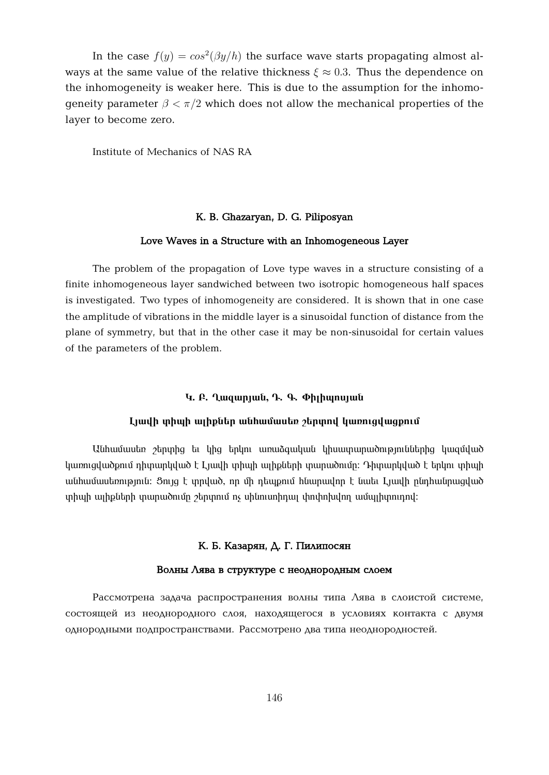In the case  $f(y) = cos^2(\beta y/h)$  the surface wave starts propagating almost always at the same value of the relative thickness  $\xi \approx 0.3$ . Thus the dependence on the inhomogeneity is weaker here. This is due to the assumption for the inhomogeneity parameter  $\beta < \pi/2$  which does not allow the mechanical properties of the layer to become zero.

Institute of Mechanics of NAS RA

### **K. B. Ghazaryan, D. G. Piliposyan**

#### **Love Waves in a Structure with an Inhomogeneous Layer**

The problem of the propagation of Love type waves in a structure consisting of a finite inhomogeneous layer sandwiched between two isotropic homogeneous half spaces is investigated. Two types of inhomogeneity are considered. It is shown that in one case the amplitude of vibrations in the middle layer is a sinusoidal function of distance from the plane of symmetry, but that in the other case it may be non-sinusoidal for certain values of the parameters of the problem.

### **E. A. Q. Q. Q. Q. O**. **O**. **O**. **O**. **D. O. C**

#### $\lim_{h \to \infty}$  **i** the physic the multimetry form in the sum in the sum is the set of the set of the sum is the sum in the sum in the sum is the sum in the sum is the sum in the sum in the sum is the sum in the sum is the su

<u>Մնիամասեռ շերտից եւ կից երկու առաձգական կիսատարածություններից կազմված</u> luunnguud phu qhuunquud t Lauqh qhuqh uqhput iququudnuq: Դիտարկված է երկու տիպի անհամասեռություն։ Ցույց է տրված, որ մի դեպքում հնարավոր է նաեւ Լյավի ընդհանրացված inhugh ung putah undu mengang bang menganakan kanang terlah putang terlah putang di pendangan kantang terlanga

# К. Б. Казарян, Д. Г. Пилипосян

#### Волны Лява в структуре с неоднородным слоем

Рассмотрена задача распространения волны типа Лява в слоистой системе, состоящей из неоднородного слоя, находящегося в условиях контакта с двумя однородными подпространствами. Рассмотрено два типа неоднородностей.